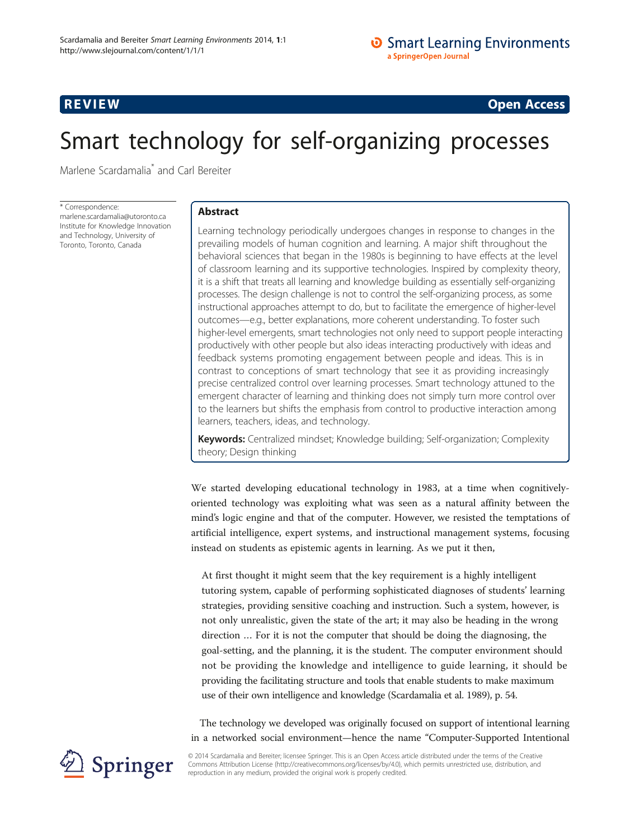**REVIEW REVIEW CONSTRUCTER CONSTRUCTION** 

# Smart technology for self-organizing processes

Marlene Scardamalia\* and Carl Bereiter

\* Correspondence: marlene.scardamalia@utoronto.ca Institute for Knowledge Innovation and Technology, University of Toronto, Toronto, Canada

# Abstract

Learning technology periodically undergoes changes in response to changes in the prevailing models of human cognition and learning. A major shift throughout the behavioral sciences that began in the 1980s is beginning to have effects at the level of classroom learning and its supportive technologies. Inspired by complexity theory, it is a shift that treats all learning and knowledge building as essentially self-organizing processes. The design challenge is not to control the self-organizing process, as some instructional approaches attempt to do, but to facilitate the emergence of higher-level outcomes—e.g., better explanations, more coherent understanding. To foster such higher-level emergents, smart technologies not only need to support people interacting productively with other people but also ideas interacting productively with ideas and feedback systems promoting engagement between people and ideas. This is in contrast to conceptions of smart technology that see it as providing increasingly precise centralized control over learning processes. Smart technology attuned to the emergent character of learning and thinking does not simply turn more control over to the learners but shifts the emphasis from control to productive interaction among learners, teachers, ideas, and technology.

Keywords: Centralized mindset; Knowledge building; Self-organization; Complexity theory; Design thinking

We started developing educational technology in 1983, at a time when cognitivelyoriented technology was exploiting what was seen as a natural affinity between the mind's logic engine and that of the computer. However, we resisted the temptations of artificial intelligence, expert systems, and instructional management systems, focusing instead on students as epistemic agents in learning. As we put it then,

At first thought it might seem that the key requirement is a highly intelligent tutoring system, capable of performing sophisticated diagnoses of students' learning strategies, providing sensitive coaching and instruction. Such a system, however, is not only unrealistic, given the state of the art; it may also be heading in the wrong direction … For it is not the computer that should be doing the diagnosing, the goal-setting, and the planning, it is the student. The computer environment should not be providing the knowledge and intelligence to guide learning, it should be providing the facilitating structure and tools that enable students to make maximum use of their own intelligence and knowledge (Scardamalia et al. [1989](#page-12-0)), p. 54.

The technology we developed was originally focused on support of intentional learning in a networked social environment—hence the name "Computer-Supported Intentional



© 2014 Scardamalia and Bereiter; licensee Springer. This is an Open Access article distributed under the terms of the Creative Commons Attribution License (<http://creativecommons.org/licenses/by/4.0>), which permits unrestricted use, distribution, and reproduction in any medium, provided the original work is properly credited.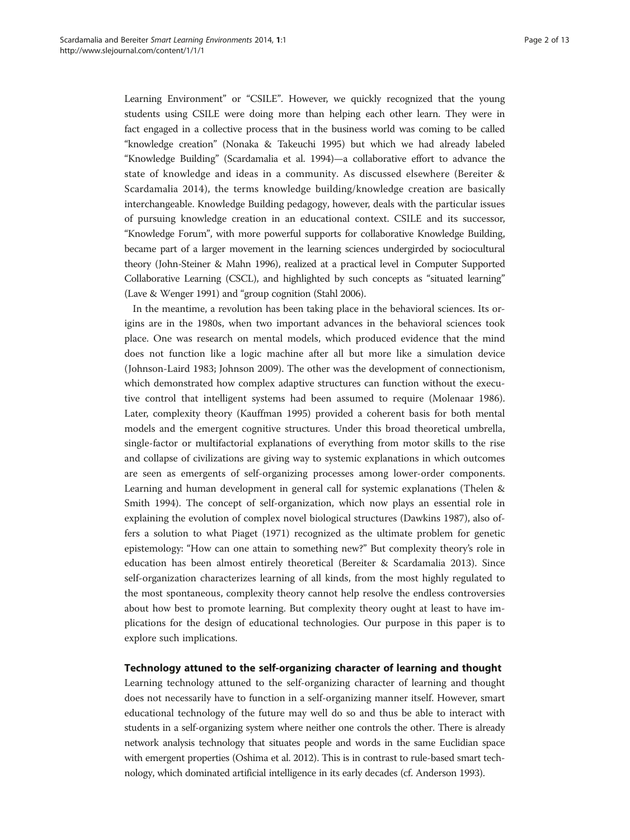Learning Environment" or "CSILE". However, we quickly recognized that the young students using CSILE were doing more than helping each other learn. They were in fact engaged in a collective process that in the business world was coming to be called "knowledge creation" (Nonaka & Takeuchi [1995](#page-11-0)) but which we had already labeled "Knowledge Building" (Scardamalia et al. [1994\)](#page-12-0)—a collaborative effort to advance the state of knowledge and ideas in a community. As discussed elsewhere (Bereiter & Scardamalia [2014](#page-10-0)), the terms knowledge building/knowledge creation are basically interchangeable. Knowledge Building pedagogy, however, deals with the particular issues of pursuing knowledge creation in an educational context. CSILE and its successor, "Knowledge Forum", with more powerful supports for collaborative Knowledge Building, became part of a larger movement in the learning sciences undergirded by sociocultural theory (John-Steiner & Mahn [1996](#page-11-0)), realized at a practical level in Computer Supported Collaborative Learning (CSCL), and highlighted by such concepts as "situated learning" (Lave & Wenger [1991\)](#page-11-0) and "group cognition (Stahl [2006\)](#page-12-0).

In the meantime, a revolution has been taking place in the behavioral sciences. Its origins are in the 1980s, when two important advances in the behavioral sciences took place. One was research on mental models, which produced evidence that the mind does not function like a logic machine after all but more like a simulation device (Johnson-Laird [1983](#page-11-0); Johnson [2009](#page-11-0)). The other was the development of connectionism, which demonstrated how complex adaptive structures can function without the executive control that intelligent systems had been assumed to require (Molenaar [1986](#page-11-0)). Later, complexity theory (Kauffman [1995\)](#page-11-0) provided a coherent basis for both mental models and the emergent cognitive structures. Under this broad theoretical umbrella, single-factor or multifactorial explanations of everything from motor skills to the rise and collapse of civilizations are giving way to systemic explanations in which outcomes are seen as emergents of self-organizing processes among lower-order components. Learning and human development in general call for systemic explanations (Thelen & Smith [1994\)](#page-12-0). The concept of self-organization, which now plays an essential role in explaining the evolution of complex novel biological structures (Dawkins [1987](#page-11-0)), also offers a solution to what Piaget [\(1971\)](#page-11-0) recognized as the ultimate problem for genetic epistemology: "How can one attain to something new?" But complexity theory's role in education has been almost entirely theoretical (Bereiter & Scardamalia [2013\)](#page-10-0). Since self-organization characterizes learning of all kinds, from the most highly regulated to the most spontaneous, complexity theory cannot help resolve the endless controversies about how best to promote learning. But complexity theory ought at least to have implications for the design of educational technologies. Our purpose in this paper is to explore such implications.

## Technology attuned to the self-organizing character of learning and thought

Learning technology attuned to the self-organizing character of learning and thought does not necessarily have to function in a self-organizing manner itself. However, smart educational technology of the future may well do so and thus be able to interact with students in a self-organizing system where neither one controls the other. There is already network analysis technology that situates people and words in the same Euclidian space with emergent properties (Oshima et al. [2012\)](#page-11-0). This is in contrast to rule-based smart technology, which dominated artificial intelligence in its early decades (cf. Anderson [1993\)](#page-10-0).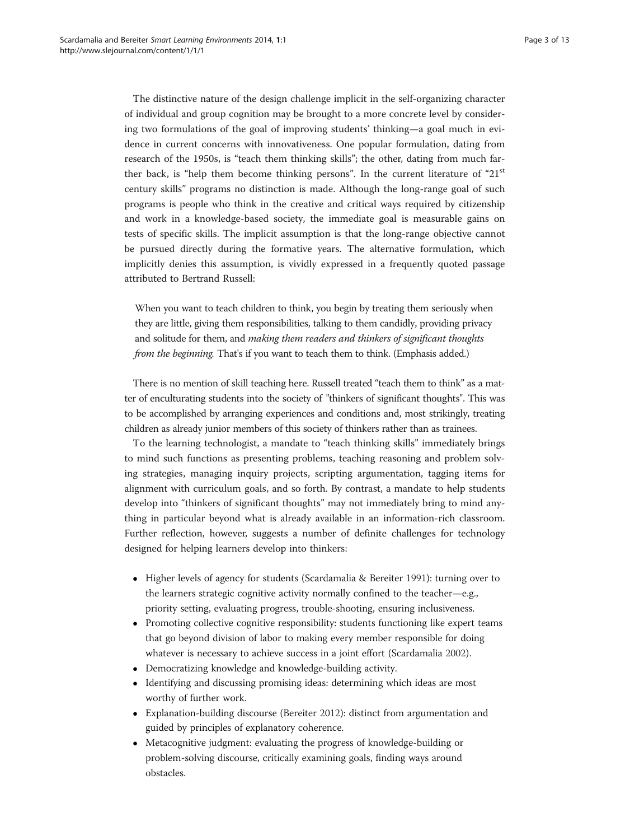The distinctive nature of the design challenge implicit in the self-organizing character of individual and group cognition may be brought to a more concrete level by considering two formulations of the goal of improving students' thinking—a goal much in evidence in current concerns with innovativeness. One popular formulation, dating from research of the 1950s, is "teach them thinking skills"; the other, dating from much farther back, is "help them become thinking persons". In the current literature of " $21<sup>st</sup>$ century skills" programs no distinction is made. Although the long-range goal of such programs is people who think in the creative and critical ways required by citizenship and work in a knowledge-based society, the immediate goal is measurable gains on tests of specific skills. The implicit assumption is that the long-range objective cannot be pursued directly during the formative years. The alternative formulation, which implicitly denies this assumption, is vividly expressed in a frequently quoted passage attributed to Bertrand Russell:

When you want to teach children to think, you begin by treating them seriously when they are little, giving them responsibilities, talking to them candidly, providing privacy and solitude for them, and making them readers and thinkers of significant thoughts from the beginning. That's if you want to teach them to think. (Emphasis added.)

There is no mention of skill teaching here. Russell treated "teach them to think" as a matter of enculturating students into the society of "thinkers of significant thoughts". This was to be accomplished by arranging experiences and conditions and, most strikingly, treating children as already junior members of this society of thinkers rather than as trainees.

To the learning technologist, a mandate to "teach thinking skills" immediately brings to mind such functions as presenting problems, teaching reasoning and problem solving strategies, managing inquiry projects, scripting argumentation, tagging items for alignment with curriculum goals, and so forth. By contrast, a mandate to help students develop into "thinkers of significant thoughts" may not immediately bring to mind anything in particular beyond what is already available in an information-rich classroom. Further reflection, however, suggests a number of definite challenges for technology designed for helping learners develop into thinkers:

- Higher levels of agency for students (Scardamalia & Bereiter [1991](#page-12-0)): turning over to the learners strategic cognitive activity normally confined to the teacher—e.g., priority setting, evaluating progress, trouble-shooting, ensuring inclusiveness.
- Promoting collective cognitive responsibility: students functioning like expert teams that go beyond division of labor to making every member responsible for doing whatever is necessary to achieve success in a joint effort (Scardamalia [2002\)](#page-11-0).
- Democratizing knowledge and knowledge-building activity.
- Identifying and discussing promising ideas: determining which ideas are most worthy of further work.
- Explanation-building discourse (Bereiter [2012\)](#page-10-0): distinct from argumentation and guided by principles of explanatory coherence.
- Metacognitive judgment: evaluating the progress of knowledge-building or problem-solving discourse, critically examining goals, finding ways around obstacles.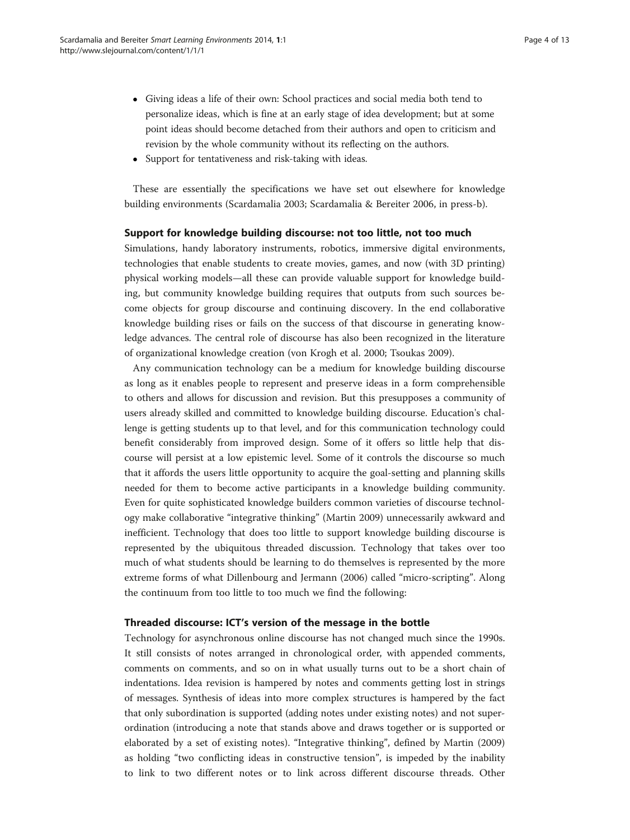- Giving ideas a life of their own: School practices and social media both tend to personalize ideas, which is fine at an early stage of idea development; but at some point ideas should become detached from their authors and open to criticism and revision by the whole community without its reflecting on the authors.
- Support for tentativeness and risk-taking with ideas.

These are essentially the specifications we have set out elsewhere for knowledge building environments (Scardamalia [2003](#page-12-0); Scardamalia & Bereiter [2006](#page-12-0), [in press-b\)](#page-12-0).

#### Support for knowledge building discourse: not too little, not too much

Simulations, handy laboratory instruments, robotics, immersive digital environments, technologies that enable students to create movies, games, and now (with 3D printing) physical working models—all these can provide valuable support for knowledge building, but community knowledge building requires that outputs from such sources become objects for group discourse and continuing discovery. In the end collaborative knowledge building rises or fails on the success of that discourse in generating knowledge advances. The central role of discourse has also been recognized in the literature of organizational knowledge creation (von Krogh et al. [2000;](#page-12-0) Tsoukas [2009](#page-12-0)).

Any communication technology can be a medium for knowledge building discourse as long as it enables people to represent and preserve ideas in a form comprehensible to others and allows for discussion and revision. But this presupposes a community of users already skilled and committed to knowledge building discourse. Education's challenge is getting students up to that level, and for this communication technology could benefit considerably from improved design. Some of it offers so little help that discourse will persist at a low epistemic level. Some of it controls the discourse so much that it affords the users little opportunity to acquire the goal-setting and planning skills needed for them to become active participants in a knowledge building community. Even for quite sophisticated knowledge builders common varieties of discourse technology make collaborative "integrative thinking" (Martin [2009](#page-11-0)) unnecessarily awkward and inefficient. Technology that does too little to support knowledge building discourse is represented by the ubiquitous threaded discussion. Technology that takes over too much of what students should be learning to do themselves is represented by the more extreme forms of what Dillenbourg and Jermann ([2006\)](#page-11-0) called "micro-scripting". Along the continuum from too little to too much we find the following:

#### Threaded discourse: ICT's version of the message in the bottle

Technology for asynchronous online discourse has not changed much since the 1990s. It still consists of notes arranged in chronological order, with appended comments, comments on comments, and so on in what usually turns out to be a short chain of indentations. Idea revision is hampered by notes and comments getting lost in strings of messages. Synthesis of ideas into more complex structures is hampered by the fact that only subordination is supported (adding notes under existing notes) and not superordination (introducing a note that stands above and draws together or is supported or elaborated by a set of existing notes). "Integrative thinking", defined by Martin ([2009](#page-11-0)) as holding "two conflicting ideas in constructive tension", is impeded by the inability to link to two different notes or to link across different discourse threads. Other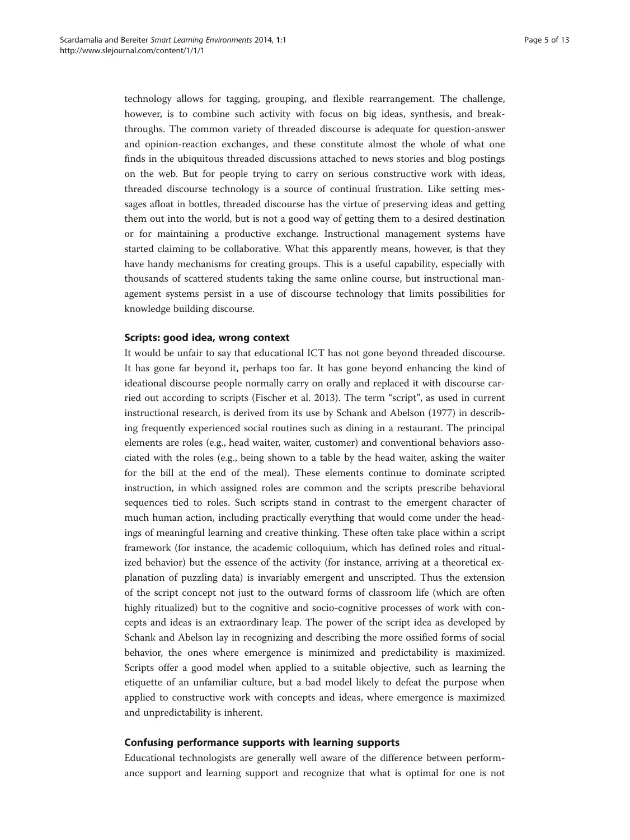technology allows for tagging, grouping, and flexible rearrangement. The challenge, however, is to combine such activity with focus on big ideas, synthesis, and breakthroughs. The common variety of threaded discourse is adequate for question-answer and opinion-reaction exchanges, and these constitute almost the whole of what one finds in the ubiquitous threaded discussions attached to news stories and blog postings on the web. But for people trying to carry on serious constructive work with ideas, threaded discourse technology is a source of continual frustration. Like setting messages afloat in bottles, threaded discourse has the virtue of preserving ideas and getting them out into the world, but is not a good way of getting them to a desired destination or for maintaining a productive exchange. Instructional management systems have started claiming to be collaborative. What this apparently means, however, is that they have handy mechanisms for creating groups. This is a useful capability, especially with thousands of scattered students taking the same online course, but instructional management systems persist in a use of discourse technology that limits possibilities for knowledge building discourse.

#### Scripts: good idea, wrong context

It would be unfair to say that educational ICT has not gone beyond threaded discourse. It has gone far beyond it, perhaps too far. It has gone beyond enhancing the kind of ideational discourse people normally carry on orally and replaced it with discourse carried out according to scripts (Fischer et al. [2013\)](#page-11-0). The term "script", as used in current instructional research, is derived from its use by Schank and Abelson [\(1977\)](#page-12-0) in describing frequently experienced social routines such as dining in a restaurant. The principal elements are roles (e.g., head waiter, waiter, customer) and conventional behaviors associated with the roles (e.g., being shown to a table by the head waiter, asking the waiter for the bill at the end of the meal). These elements continue to dominate scripted instruction, in which assigned roles are common and the scripts prescribe behavioral sequences tied to roles. Such scripts stand in contrast to the emergent character of much human action, including practically everything that would come under the headings of meaningful learning and creative thinking. These often take place within a script framework (for instance, the academic colloquium, which has defined roles and ritualized behavior) but the essence of the activity (for instance, arriving at a theoretical explanation of puzzling data) is invariably emergent and unscripted. Thus the extension of the script concept not just to the outward forms of classroom life (which are often highly ritualized) but to the cognitive and socio-cognitive processes of work with concepts and ideas is an extraordinary leap. The power of the script idea as developed by Schank and Abelson lay in recognizing and describing the more ossified forms of social behavior, the ones where emergence is minimized and predictability is maximized. Scripts offer a good model when applied to a suitable objective, such as learning the etiquette of an unfamiliar culture, but a bad model likely to defeat the purpose when applied to constructive work with concepts and ideas, where emergence is maximized and unpredictability is inherent.

## Confusing performance supports with learning supports

Educational technologists are generally well aware of the difference between performance support and learning support and recognize that what is optimal for one is not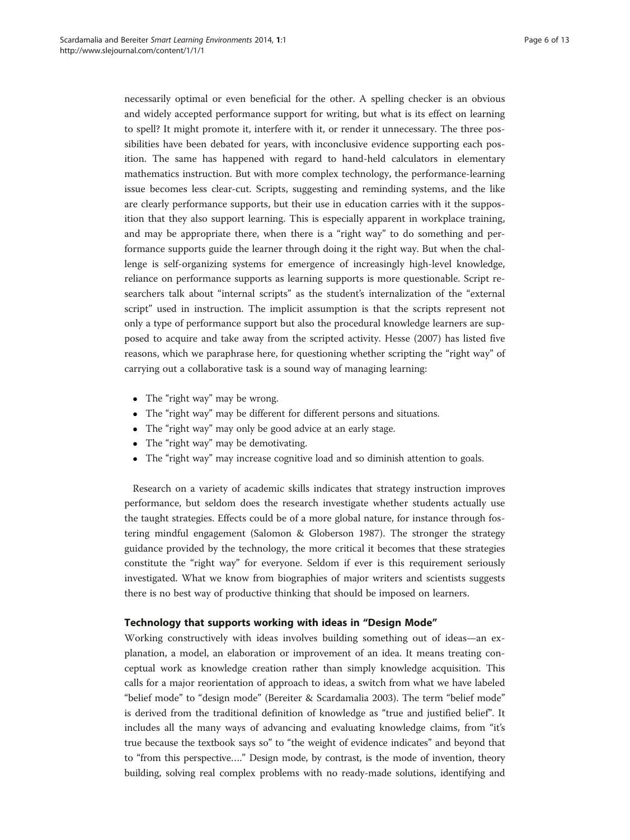necessarily optimal or even beneficial for the other. A spelling checker is an obvious and widely accepted performance support for writing, but what is its effect on learning to spell? It might promote it, interfere with it, or render it unnecessary. The three possibilities have been debated for years, with inconclusive evidence supporting each position. The same has happened with regard to hand-held calculators in elementary mathematics instruction. But with more complex technology, the performance-learning issue becomes less clear-cut. Scripts, suggesting and reminding systems, and the like are clearly performance supports, but their use in education carries with it the supposition that they also support learning. This is especially apparent in workplace training, and may be appropriate there, when there is a "right way" to do something and performance supports guide the learner through doing it the right way. But when the challenge is self-organizing systems for emergence of increasingly high-level knowledge, reliance on performance supports as learning supports is more questionable. Script researchers talk about "internal scripts" as the student's internalization of the "external script" used in instruction. The implicit assumption is that the scripts represent not only a type of performance support but also the procedural knowledge learners are supposed to acquire and take away from the scripted activity. Hesse [\(2007](#page-11-0)) has listed five reasons, which we paraphrase here, for questioning whether scripting the "right way" of carrying out a collaborative task is a sound way of managing learning:

- The "right way" may be wrong.
- The "right way" may be different for different persons and situations.
- The "right way" may only be good advice at an early stage.
- The "right way" may be demotivating.
- The "right way" may increase cognitive load and so diminish attention to goals.

Research on a variety of academic skills indicates that strategy instruction improves performance, but seldom does the research investigate whether students actually use the taught strategies. Effects could be of a more global nature, for instance through fostering mindful engagement (Salomon & Globerson [1987\)](#page-11-0). The stronger the strategy guidance provided by the technology, the more critical it becomes that these strategies constitute the "right way" for everyone. Seldom if ever is this requirement seriously investigated. What we know from biographies of major writers and scientists suggests there is no best way of productive thinking that should be imposed on learners.

## Technology that supports working with ideas in "Design Mode"

Working constructively with ideas involves building something out of ideas—an explanation, a model, an elaboration or improvement of an idea. It means treating conceptual work as knowledge creation rather than simply knowledge acquisition. This calls for a major reorientation of approach to ideas, a switch from what we have labeled "belief mode" to "design mode" (Bereiter & Scardamalia [2003\)](#page-10-0). The term "belief mode" is derived from the traditional definition of knowledge as "true and justified belief". It includes all the many ways of advancing and evaluating knowledge claims, from "it's true because the textbook says so" to "the weight of evidence indicates" and beyond that to "from this perspective…." Design mode, by contrast, is the mode of invention, theory building, solving real complex problems with no ready-made solutions, identifying and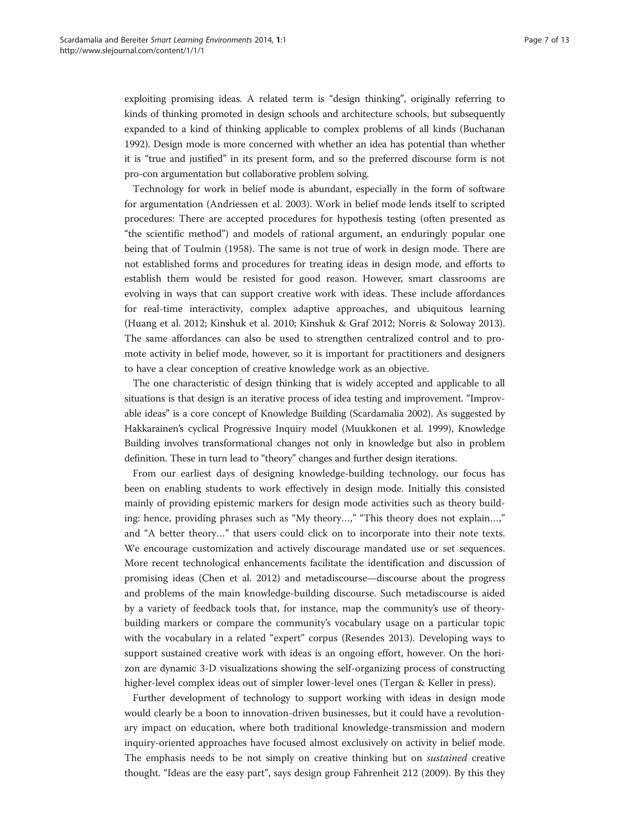exploiting promising ideas. A related term is "design thinking", originally referring to kinds of thinking promoted in design schools and architecture schools, but subsequently expanded to a kind of thinking applicable to complex problems of all kinds (Buchanan [1992\)](#page-10-0). Design mode is more concerned with whether an idea has potential than whether it is "true and justified" in its present form, and so the preferred discourse form is not pro-con argumentation but collaborative problem solving.

Technology for work in belief mode is abundant, especially in the form of software for argumentation (Andriessen et al. [2003\)](#page-10-0). Work in belief mode lends itself to scripted procedures: There are accepted procedures for hypothesis testing (often presented as "the scientific method") and models of rational argument, an enduringly popular one being that of Toulmin ([1958](#page-12-0)). The same is not true of work in design mode. There are not established forms and procedures for treating ideas in design mode, and efforts to establish them would be resisted for good reason. However, smart classrooms are evolving in ways that can support creative work with ideas. These include affordances for real-time interactivity, complex adaptive approaches, and ubiquitous learning (Huang et al. [2012;](#page-11-0) Kinshuk et al. [2010](#page-11-0); Kinshuk & Graf [2012](#page-11-0); Norris & Soloway [2013](#page-11-0)). The same affordances can also be used to strengthen centralized control and to promote activity in belief mode, however, so it is important for practitioners and designers to have a clear conception of creative knowledge work as an objective.

The one characteristic of design thinking that is widely accepted and applicable to all situations is that design is an iterative process of idea testing and improvement. "Improvable ideas" is a core concept of Knowledge Building (Scardamalia [2002](#page-11-0)). As suggested by Hakkarainen's cyclical Progressive Inquiry model (Muukkonen et al. [1999\)](#page-11-0), Knowledge Building involves transformational changes not only in knowledge but also in problem definition. These in turn lead to "theory" changes and further design iterations.

From our earliest days of designing knowledge-building technology, our focus has been on enabling students to work effectively in design mode. Initially this consisted mainly of providing epistemic markers for design mode activities such as theory building: hence, providing phrases such as "My theory…," "This theory does not explain…," and "A better theory…" that users could click on to incorporate into their note texts. We encourage customization and actively discourage mandated use or set sequences. More recent technological enhancements facilitate the identification and discussion of promising ideas (Chen et al. [2012\)](#page-11-0) and metadiscourse—discourse about the progress and problems of the main knowledge-building discourse. Such metadiscourse is aided by a variety of feedback tools that, for instance, map the community's use of theorybuilding markers or compare the community's vocabulary usage on a particular topic with the vocabulary in a related "expert" corpus (Resendes [2013](#page-11-0)). Developing ways to support sustained creative work with ideas is an ongoing effort, however. On the horizon are dynamic 3-D visualizations showing the self-organizing process of constructing higher-level complex ideas out of simpler lower-level ones (Tergan & Keller [in press\)](#page-12-0).

Further development of technology to support working with ideas in design mode would clearly be a boon to innovation-driven businesses, but it could have a revolutionary impact on education, where both traditional knowledge-transmission and modern inquiry-oriented approaches have focused almost exclusively on activity in belief mode. The emphasis needs to be not simply on creative thinking but on sustained creative thought. "Ideas are the easy part", says design group Fahrenheit 212 ([2009](#page-11-0)). By this they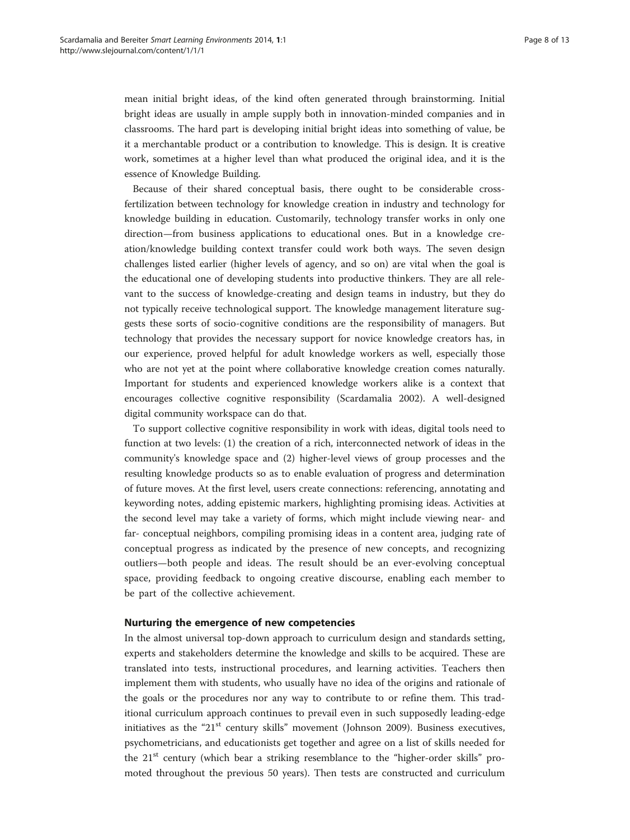mean initial bright ideas, of the kind often generated through brainstorming. Initial bright ideas are usually in ample supply both in innovation-minded companies and in classrooms. The hard part is developing initial bright ideas into something of value, be it a merchantable product or a contribution to knowledge. This is design. It is creative work, sometimes at a higher level than what produced the original idea, and it is the essence of Knowledge Building.

Because of their shared conceptual basis, there ought to be considerable crossfertilization between technology for knowledge creation in industry and technology for knowledge building in education. Customarily, technology transfer works in only one direction—from business applications to educational ones. But in a knowledge creation/knowledge building context transfer could work both ways. The seven design challenges listed earlier (higher levels of agency, and so on) are vital when the goal is the educational one of developing students into productive thinkers. They are all relevant to the success of knowledge-creating and design teams in industry, but they do not typically receive technological support. The knowledge management literature suggests these sorts of socio-cognitive conditions are the responsibility of managers. But technology that provides the necessary support for novice knowledge creators has, in our experience, proved helpful for adult knowledge workers as well, especially those who are not yet at the point where collaborative knowledge creation comes naturally. Important for students and experienced knowledge workers alike is a context that encourages collective cognitive responsibility (Scardamalia [2002\)](#page-11-0). A well-designed digital community workspace can do that.

To support collective cognitive responsibility in work with ideas, digital tools need to function at two levels: (1) the creation of a rich, interconnected network of ideas in the community's knowledge space and (2) higher-level views of group processes and the resulting knowledge products so as to enable evaluation of progress and determination of future moves. At the first level, users create connections: referencing, annotating and keywording notes, adding epistemic markers, highlighting promising ideas. Activities at the second level may take a variety of forms, which might include viewing near- and far- conceptual neighbors, compiling promising ideas in a content area, judging rate of conceptual progress as indicated by the presence of new concepts, and recognizing outliers—both people and ideas. The result should be an ever-evolving conceptual space, providing feedback to ongoing creative discourse, enabling each member to be part of the collective achievement.

#### Nurturing the emergence of new competencies

In the almost universal top-down approach to curriculum design and standards setting, experts and stakeholders determine the knowledge and skills to be acquired. These are translated into tests, instructional procedures, and learning activities. Teachers then implement them with students, who usually have no idea of the origins and rationale of the goals or the procedures nor any way to contribute to or refine them. This traditional curriculum approach continues to prevail even in such supposedly leading-edge initiatives as the " $21<sup>st</sup>$  century skills" movement (Johnson [2009\)](#page-11-0). Business executives, psychometricians, and educationists get together and agree on a list of skills needed for the  $21<sup>st</sup>$  century (which bear a striking resemblance to the "higher-order skills" promoted throughout the previous 50 years). Then tests are constructed and curriculum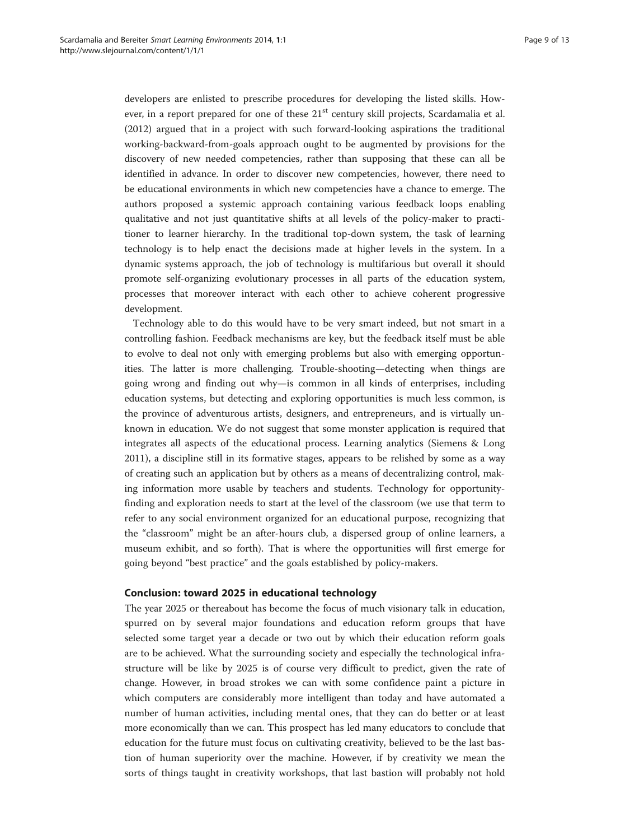developers are enlisted to prescribe procedures for developing the listed skills. However, in a report prepared for one of these  $21<sup>st</sup>$  century skill projects, Scardamalia et al. ([2012](#page-12-0)) argued that in a project with such forward-looking aspirations the traditional working-backward-from-goals approach ought to be augmented by provisions for the discovery of new needed competencies, rather than supposing that these can all be identified in advance. In order to discover new competencies, however, there need to be educational environments in which new competencies have a chance to emerge. The authors proposed a systemic approach containing various feedback loops enabling qualitative and not just quantitative shifts at all levels of the policy-maker to practitioner to learner hierarchy. In the traditional top-down system, the task of learning technology is to help enact the decisions made at higher levels in the system. In a dynamic systems approach, the job of technology is multifarious but overall it should promote self-organizing evolutionary processes in all parts of the education system, processes that moreover interact with each other to achieve coherent progressive development.

Technology able to do this would have to be very smart indeed, but not smart in a controlling fashion. Feedback mechanisms are key, but the feedback itself must be able to evolve to deal not only with emerging problems but also with emerging opportunities. The latter is more challenging. Trouble-shooting—detecting when things are going wrong and finding out why—is common in all kinds of enterprises, including education systems, but detecting and exploring opportunities is much less common, is the province of adventurous artists, designers, and entrepreneurs, and is virtually unknown in education. We do not suggest that some monster application is required that integrates all aspects of the educational process. Learning analytics (Siemens & Long [2011](#page-12-0)), a discipline still in its formative stages, appears to be relished by some as a way of creating such an application but by others as a means of decentralizing control, making information more usable by teachers and students. Technology for opportunityfinding and exploration needs to start at the level of the classroom (we use that term to refer to any social environment organized for an educational purpose, recognizing that the "classroom" might be an after-hours club, a dispersed group of online learners, a museum exhibit, and so forth). That is where the opportunities will first emerge for going beyond "best practice" and the goals established by policy-makers.

## Conclusion: toward 2025 in educational technology

The year 2025 or thereabout has become the focus of much visionary talk in education, spurred on by several major foundations and education reform groups that have selected some target year a decade or two out by which their education reform goals are to be achieved. What the surrounding society and especially the technological infrastructure will be like by 2025 is of course very difficult to predict, given the rate of change. However, in broad strokes we can with some confidence paint a picture in which computers are considerably more intelligent than today and have automated a number of human activities, including mental ones, that they can do better or at least more economically than we can. This prospect has led many educators to conclude that education for the future must focus on cultivating creativity, believed to be the last bastion of human superiority over the machine. However, if by creativity we mean the sorts of things taught in creativity workshops, that last bastion will probably not hold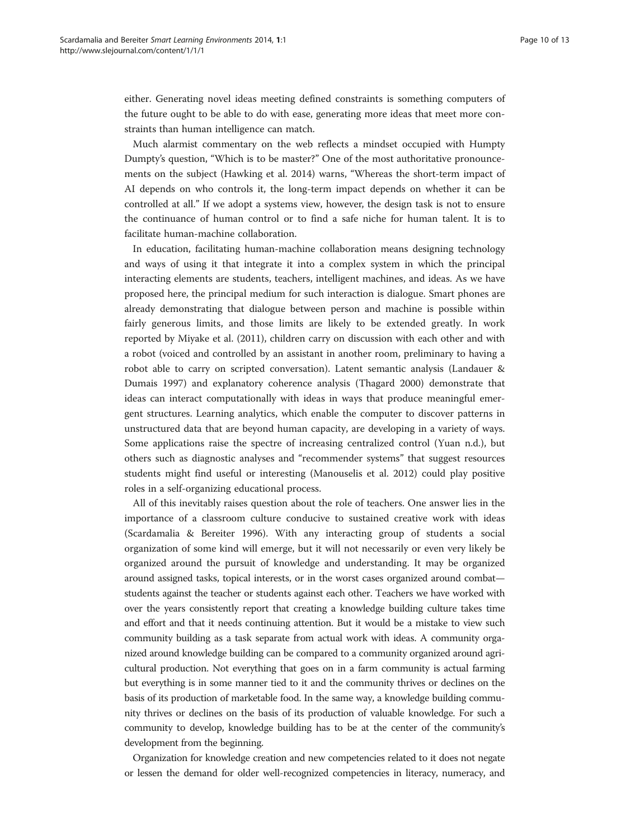either. Generating novel ideas meeting defined constraints is something computers of the future ought to be able to do with ease, generating more ideas that meet more constraints than human intelligence can match.

Much alarmist commentary on the web reflects a mindset occupied with Humpty Dumpty's question, "Which is to be master?" One of the most authoritative pronouncements on the subject (Hawking et al. [2014\)](#page-11-0) warns, "Whereas the short-term impact of AI depends on who controls it, the long-term impact depends on whether it can be controlled at all." If we adopt a systems view, however, the design task is not to ensure the continuance of human control or to find a safe niche for human talent. It is to facilitate human-machine collaboration.

In education, facilitating human-machine collaboration means designing technology and ways of using it that integrate it into a complex system in which the principal interacting elements are students, teachers, intelligent machines, and ideas. As we have proposed here, the principal medium for such interaction is dialogue. Smart phones are already demonstrating that dialogue between person and machine is possible within fairly generous limits, and those limits are likely to be extended greatly. In work reported by Miyake et al. [\(2011\)](#page-11-0), children carry on discussion with each other and with a robot (voiced and controlled by an assistant in another room, preliminary to having a robot able to carry on scripted conversation). Latent semantic analysis (Landauer & Dumais [1997](#page-11-0)) and explanatory coherence analysis (Thagard [2000\)](#page-12-0) demonstrate that ideas can interact computationally with ideas in ways that produce meaningful emergent structures. Learning analytics, which enable the computer to discover patterns in unstructured data that are beyond human capacity, are developing in a variety of ways. Some applications raise the spectre of increasing centralized control (Yuan [n.d](#page-12-0).), but others such as diagnostic analyses and "recommender systems" that suggest resources students might find useful or interesting (Manouselis et al. [2012\)](#page-11-0) could play positive roles in a self-organizing educational process.

All of this inevitably raises question about the role of teachers. One answer lies in the importance of a classroom culture conducive to sustained creative work with ideas (Scardamalia & Bereiter [1996](#page-12-0)). With any interacting group of students a social organization of some kind will emerge, but it will not necessarily or even very likely be organized around the pursuit of knowledge and understanding. It may be organized around assigned tasks, topical interests, or in the worst cases organized around combat students against the teacher or students against each other. Teachers we have worked with over the years consistently report that creating a knowledge building culture takes time and effort and that it needs continuing attention. But it would be a mistake to view such community building as a task separate from actual work with ideas. A community organized around knowledge building can be compared to a community organized around agricultural production. Not everything that goes on in a farm community is actual farming but everything is in some manner tied to it and the community thrives or declines on the basis of its production of marketable food. In the same way, a knowledge building community thrives or declines on the basis of its production of valuable knowledge. For such a community to develop, knowledge building has to be at the center of the community's development from the beginning.

Organization for knowledge creation and new competencies related to it does not negate or lessen the demand for older well-recognized competencies in literacy, numeracy, and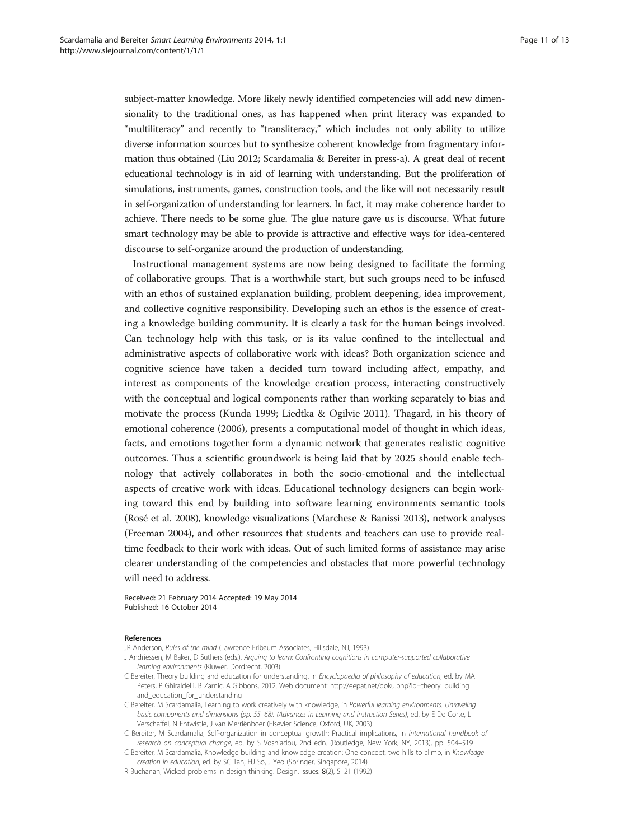<span id="page-10-0"></span>subject-matter knowledge. More likely newly identified competencies will add new dimensionality to the traditional ones, as has happened when print literacy was expanded to "multiliteracy" and recently to "transliteracy," which includes not only ability to utilize diverse information sources but to synthesize coherent knowledge from fragmentary information thus obtained (Liu [2012;](#page-11-0) Scardamalia & Bereiter in press-a). A great deal of recent educational technology is in aid of learning with understanding. But the proliferation of simulations, instruments, games, construction tools, and the like will not necessarily result in self-organization of understanding for learners. In fact, it may make coherence harder to achieve. There needs to be some glue. The glue nature gave us is discourse. What future smart technology may be able to provide is attractive and effective ways for idea-centered discourse to self-organize around the production of understanding.

Instructional management systems are now being designed to facilitate the forming of collaborative groups. That is a worthwhile start, but such groups need to be infused with an ethos of sustained explanation building, problem deepening, idea improvement, and collective cognitive responsibility. Developing such an ethos is the essence of creating a knowledge building community. It is clearly a task for the human beings involved. Can technology help with this task, or is its value confined to the intellectual and administrative aspects of collaborative work with ideas? Both organization science and cognitive science have taken a decided turn toward including affect, empathy, and interest as components of the knowledge creation process, interacting constructively with the conceptual and logical components rather than working separately to bias and motivate the process (Kunda [1999;](#page-11-0) Liedtka & Ogilvie [2011\)](#page-11-0). Thagard, in his theory of emotional coherence ([2006\)](#page-12-0), presents a computational model of thought in which ideas, facts, and emotions together form a dynamic network that generates realistic cognitive outcomes. Thus a scientific groundwork is being laid that by 2025 should enable technology that actively collaborates in both the socio-emotional and the intellectual aspects of creative work with ideas. Educational technology designers can begin working toward this end by building into software learning environments semantic tools (Rosé et al. [2008\)](#page-11-0), knowledge visualizations (Marchese & Banissi [2013\)](#page-11-0), network analyses (Freeman [2004](#page-11-0)), and other resources that students and teachers can use to provide realtime feedback to their work with ideas. Out of such limited forms of assistance may arise clearer understanding of the competencies and obstacles that more powerful technology will need to address.

Received: 21 February 2014 Accepted: 19 May 2014 Published: 16 October 2014

#### References

- JR Anderson, Rules of the mind (Lawrence Erlbaum Associates, Hillsdale, NJ, 1993)
- J Andriessen, M Baker, D Suthers (eds.), Arguing to learn: Confronting cognitions in computer-supported collaborative learning environments (Kluwer, Dordrecht, 2003)
- C Bereiter, Theory building and education for understanding, in Encyclopaedia of philosophy of education, ed. by MA Peters, P Ghiraldelli, B Zarnic, A Gibbons, 2012. Web document: [http://eepat.net/doku.php?id=theory\\_building\\_](http://eepat.net/doku.php?id=theory_building_and_education_for_understanding) [and\\_education\\_for\\_understanding](http://eepat.net/doku.php?id=theory_building_and_education_for_understanding)
- C Bereiter, M Scardamalia, Learning to work creatively with knowledge, in Powerful learning environments. Unraveling basic components and dimensions (pp. 55–68). (Advances in Learning and Instruction Series), ed. by E De Corte, L Verschaffel, N Entwistle, J van Merriënboer (Elsevier Science, Oxford, UK, 2003)
- C Bereiter, M Scardamalia, Self-organization in conceptual growth: Practical implications, in International handbook of research on conceptual change, ed. by S Vosniadou, 2nd edn. (Routledge, New York, NY, 2013), pp. 504–519
- C Bereiter, M Scardamalia, Knowledge building and knowledge creation: One concept, two hills to climb, in Knowledge creation in education, ed. by SC Tan, HJ So, J Yeo (Springer, Singapore, 2014)
- R Buchanan, Wicked problems in design thinking. Design. Issues. 8(2), 5–21 (1992)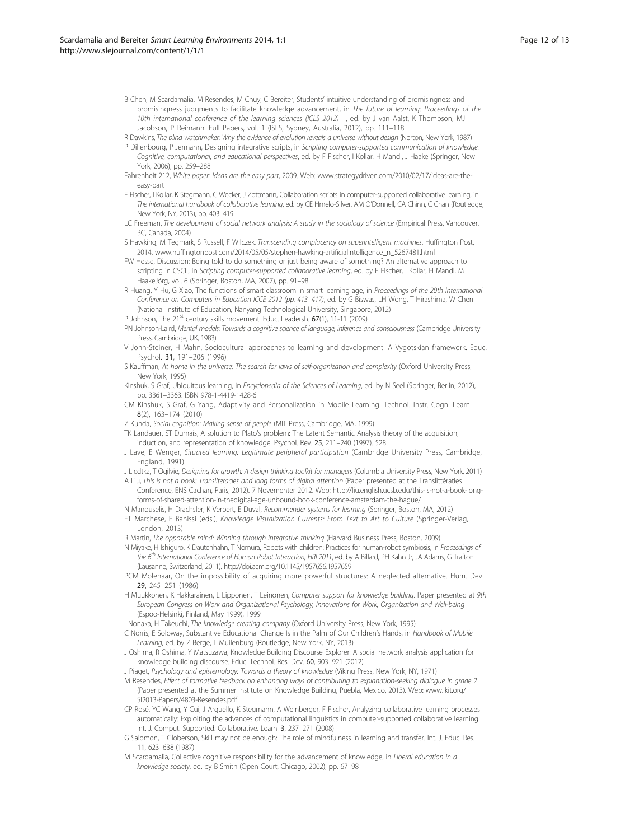- <span id="page-11-0"></span>B Chen, M Scardamalia, M Resendes, M Chuy, C Bereiter, Students' intuitive understanding of promisingness and promisingness judgments to facilitate knowledge advancement, in The future of learning: Proceedings of the 10th international conference of the learning sciences (ICLS 2012) -, ed. by J van Aalst, K Thompson, MJ Jacobson, P Reimann. Full Papers, vol. 1 (ISLS, Sydney, Australia, 2012), pp. 111–118
- R Dawkins, The blind watchmaker: Why the evidence of evolution reveals a universe without design (Norton, New York, 1987)
- P Dillenbourg, P Jermann, Designing integrative scripts, in Scripting computer-supported communication of knowledge. Cognitive, computational, and educational perspectives, ed. by F Fischer, I Kollar, H Mandl, J Haake (Springer, New York, 2006), pp. 259–288
- Fahrenheit 212, White paper: Ideas are the easy part, 2009. Web: [www.strategydriven.com/2010/02/17/ideas-are-the](http://www.strategydriven.com/2010/02/17/ideas-are-the-easy-part)[easy-part](http://www.strategydriven.com/2010/02/17/ideas-are-the-easy-part)
- F Fischer, I Kollar, K Stegmann, C Wecker, J Zottmann, Collaboration scripts in computer-supported collaborative learning, in The international handbook of collaborative learning, ed. by CE Hmelo-Silver, AM O'Donnell, CA Chinn, C Chan (Routledge, New York, NY, 2013), pp. 403–419
- LC Freeman, The development of social network analysis: A study in the sociology of science (Empirical Press, Vancouver, BC, Canada, 2004)
- S Hawking, M Tegmark, S Russell, F Wilczek, Transcending complacency on superintelligent machines. Huffington Post, 2014. [www.huffingtonpost.com/2014/05/05/stephen-hawking-artificialintelligence\\_n\\_5267481.html](http://www.huffingtonpost.com/2014/05/05/stephen-hawking-artificialintelligence_n_5267481.html)
- FW Hesse, Discussion: Being told to do something or just being aware of something? An alternative approach to scripting in CSCL, in Scripting computer-supported collaborative learning, ed. by F Fischer, I Kollar, H Mandl, M HaakeJörg, vol. 6 (Springer, Boston, MA, 2007), pp. 91–98
- R Huang, Y Hu, G Xiao, The functions of smart classroom in smart learning age, in Proceedings of the 20th International Conference on Computers in Education ICCE 2012 (pp. 413–417), ed. by G Biswas, LH Wong, T Hirashima, W Chen (National Institute of Education, Nanyang Technological University, Singapore, 2012)
- P Johnson, The 21<sup>st</sup> century skills movement. Educ. Leadersh. 67(1), 11-11 (2009)
- PN Johnson-Laird, Mental models: Towards a cognitive science of language, inference and consciousness (Cambridge University Press, Cambridge, UK, 1983)
- V John-Steiner, H Mahn, Sociocultural approaches to learning and development: A Vygotskian framework. Educ. Psychol. 31, 191–206 (1996)
- S Kauffman, At home in the universe: The search for laws of self-organization and complexity (Oxford University Press, New York, 1995)
- Kinshuk, S Graf, Ubiquitous learning, in Encyclopedia of the Sciences of Learning, ed. by N Seel (Springer, Berlin, 2012), pp. 3361–3363. ISBN 978-1-4419-1428-6
- CM Kinshuk, S Graf, G Yang, Adaptivity and Personalization in Mobile Learning. Technol. Instr. Cogn. Learn. 8(2), 163–174 (2010)
- Z Kunda, Social cognition: Making sense of people (MIT Press, Cambridge, MA, 1999)
- TK Landauer, ST Dumais, A solution to Plato's problem: The Latent Semantic Analysis theory of the acquisition, induction, and representation of knowledge. Psychol. Rev. 25, 211–240 (1997). 528
- J Lave, E Wenger, Situated learning: Legitimate peripheral participation (Cambridge University Press, Cambridge, England, 1991)

J Liedtka, T Ogilvie, Designing for growth: A design thinking toolkit for managers (Columbia University Press, New York, 2011)

- A Liu, This is not a book: Transliteracies and long forms of digital attention (Paper presented at the Translittératies Conference, ENS Cachan, Paris, 2012). 7 Novementer 2012. Web: [http://liu.english.ucsb.edu/this-is-not-a-book-long](http://liu.english.ucsb.edu/this-is-not-a-book-long-forms-of-shared-attention-in-thedigital-age-unbound-book-conference-amsterdam-the-hague/)[forms-of-shared-attention-in-thedigital-age-unbound-book-conference-amsterdam-the-hague/](http://liu.english.ucsb.edu/this-is-not-a-book-long-forms-of-shared-attention-in-thedigital-age-unbound-book-conference-amsterdam-the-hague/)
- N Manouselis, H Drachsler, K Verbert, E Duval, Recommender systems for learning (Springer, Boston, MA, 2012) FT Marchese, E Banissi (eds.), Knowledge Visualization Currents: From Text to Art to Culture (Springer-Verlag, London, 2013)
- R Martin, The opposable mind: Winning through integrative thinking (Harvard Business Press, Boston, 2009)
- N Miyake, H Ishiguro, K Dautenhahn, T Nomura, Robots with children: Practices for human-robot symbiosis, in Proceedings of the 6<sup>th</sup> International Conference of Human Robot Interaction, HRI 2011, ed. by A Billard, PH Kahn Jr, JA Adams, G Trafton (Lausanne, Switzerland, 2011).<http://doi.acm.org/10.1145/1957656.1957659>
- PCM Molenaar, On the impossibility of acquiring more powerful structures: A neglected alternative. Hum. Dev. 29, 245–251 (1986)
- H Muukkonen, K Hakkarainen, L Lipponen, T Leinonen, Computer support for knowledge building. Paper presented at 9th European Congress on Work and Organizational Psychology, Innovations for Work, Organization and Well-being (Espoo-Helsinki, Finland, May 1999), 1999
- I Nonaka, H Takeuchi, The knowledge creating company (Oxford University Press, New York, 1995)
- C Norris, E Soloway, Substantive Educational Change Is in the Palm of Our Children's Hands, in Handbook of Mobile Learning, ed. by Z Berge, L Muilenburg (Routledge, New York, NY, 2013)
- J Oshima, R Oshima, Y Matsuzawa, Knowledge Building Discourse Explorer: A social network analysis application for knowledge building discourse. Educ. Technol. Res. Dev. 60, 903–921 (2012)
- J Piaget, Psychology and epistemology: Towards a theory of knowledge (Viking Press, New York, NY, 1971)
- M Resendes, Effect of formative feedback on enhancing ways of contributing to explanation-seeking dialogue in grade 2 (Paper presented at the Summer Institute on Knowledge Building, Puebla, Mexico, 2013). Web: [www.ikit.org/](http://www.ikit.org/SI2013-Papers/4803-Resendes.pdf) [SI2013-Papers/4803-Resendes.pdf](http://www.ikit.org/SI2013-Papers/4803-Resendes.pdf)
- CP Rosé, YC Wang, Y Cui, J Arguello, K Stegmann, A Weinberger, F Fischer, Analyzing collaborative learning processes automatically: Exploiting the advances of computational linguistics in computer-supported collaborative learning. Int. J. Comput. Supported. Collaborative. Learn. 3, 237–271 (2008)
- G Salomon, T Globerson, Skill may not be enough: The role of mindfulness in learning and transfer. Int. J. Educ. Res. 11, 623–638 (1987)
- M Scardamalia, Collective cognitive responsibility for the advancement of knowledge, in Liberal education in a knowledge society, ed. by B Smith (Open Court, Chicago, 2002), pp. 67–98